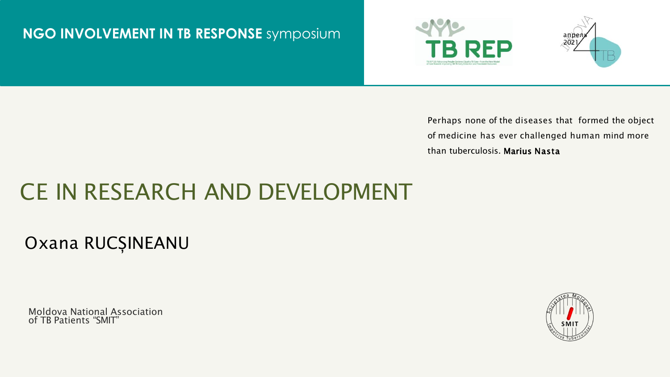## Oxana RUCȘINEANU

**NGO INVOLVEMENT IN TB RESPONSE** symposium

## CE IN RESEARCH AND DEVELOPMENT

Perhaps none of the diseases that formed the object of medicine has ever challenged human mind more than tuberculosis. Marius Nasta





Moldova National Association of TB Patients "SMIT"

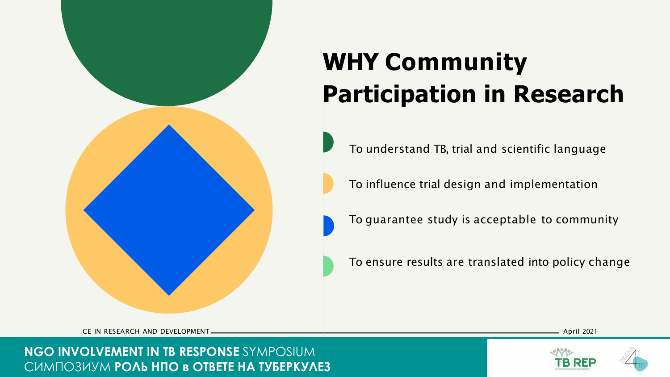# **WHY Community Participation in Research**



- To understand TB, trial and scientific language
- To influence trial design and implementation
- To guarantee study is acceptable to community
- To ensure results are translated into policy change

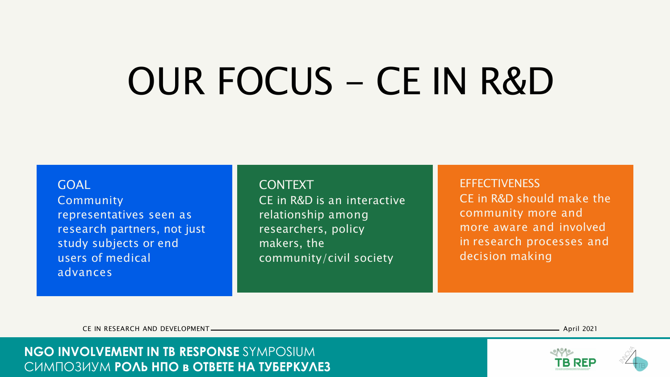# OUR FOCUS - CE IN R&D

## GOAL Community representatives seen as research partners, not just study subjects or end users of medical advances

### CONTEXT

**EFFECTIVENESS** CE in R&D should make the community more and more aware and involved in research processes and decision making





CE in R&D is an interactive relationship among researchers, policy makers, the community/civil society

CE IN RESEARCH AND DEVELOPMENT — April 2021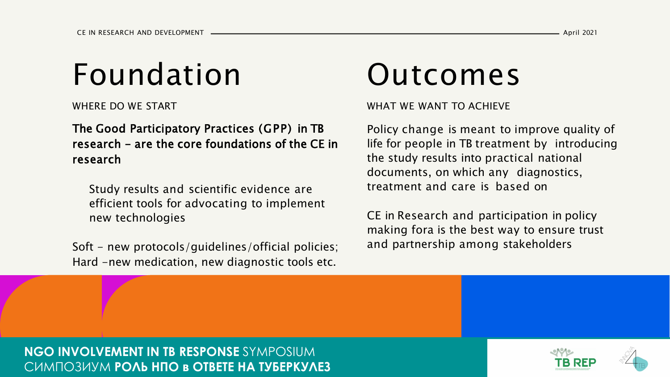# Foundation

WHERE DO WE START

The Good Participatory Practices (GPP) in TB research - are the core foundations of the CE in research

Study results and scientific evidence are efficient tools for advocating to implement new technologies

Soft - new protocols/guidelines/official policies; Hard -new medication, new diagnostic tools etc.

## Outcomes



WHAT WE WANT TO ACHIEVE

Policy change is meant to improve quality of life for people in TB treatment by introducing the study results into practical national documents, on which any diagnostics, treatment and care is based on

CE in Research and participation in policy making fora is the best way to ensure trust and partnership among stakeholders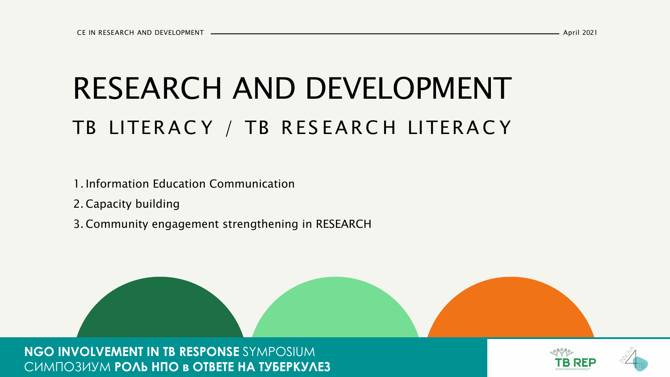# RESEARCH AND DEVELOPMENT TB LITERAC Y / TB RES EARC H LITERAC Y

1. Information Education Communication

- 2. Capacity building
- 3. Community engagement strengthening in RESEARCH





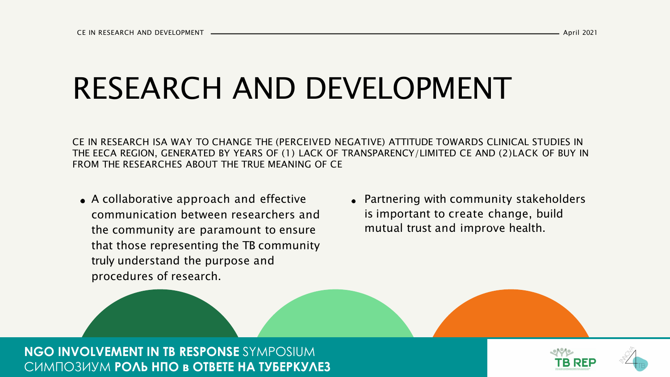- A collaborative approach and effective communication between researchers and the community are paramount to ensure that those representing the TB community truly understand the purpose and procedures of research.
- 

Partnering with community stakeholders is important to create change, build mutual trust and improve health.





# RESEARCH AND DEVELOPMENT

CE IN RESEARCH ISA WAY TO CHANGE THE (PERCEIVED NEGATIVE) ATTITUDE TOWARDS CLINICAL STUDIES IN THE EECA REGION, GENERATED BY YEARS OF (1) LACK OF TRANSPARENCY/LIMITED CE AND (2)LACK OF BUY IN FROM THE RESEARCHES ABOUT THE TRUE MEANING OF CE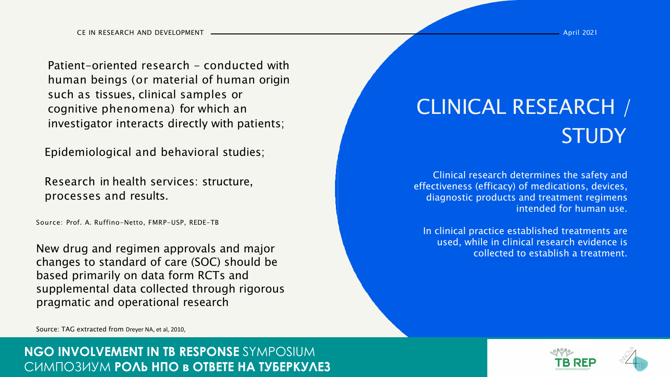## CLINICAL RESEARCH / **STUDY**

Patient-oriented research - conducted with human beings (or material of human origin such as tissues, clinical samples or cognitive phenomena) for which an investigator interacts directly with patients;

Epidemiological and behavioral studies;

Research in health services: structure, processes and results.

Source: Prof. A. Ruffino-Netto, FMRP-USP, REDE-TB

New drug and regimen approvals and major changes to standard of care (SOC) should be based primarily on data form RCTs and supplemental data collected through rigorous pragmatic and operational research

Source: TAG extracted from Dreyer NA, et al, 2010,

Clinical research determines the safety and effectiveness (efficacy) of medications, devices, diagnostic products and treatment regimens intended for human use.

In clinical practice established treatments are used, while in clinical research evidence is collected to establish a treatment.

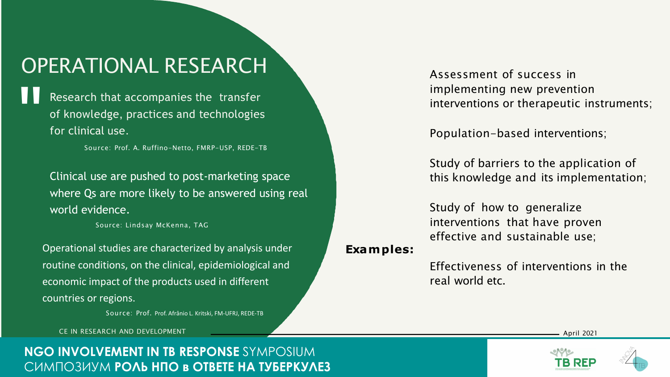## implementing new prevention interventions or therapeutic instruments;

Population-based interventions;

Study of barriers to the application of this knowledge and its implementation;

Study of how to generalize interventions that have proven effective and sustainable use;

Effectiveness of interventions in the real world etc.





Operational studies are characterized by analysis under **Examples:** routine conditions, on the clinical, epidemiological and economic impact of the products used in different countries or regions.

Source: Prof. A. Ruffino-Netto, FMRP-USP, REDE-TB

## OPERATIONAL RESEARCH Assessment of success in

Research that accompanies the transfer of knowledge, practices and technologies for clinical use. "

Source: Prof. Prof. Afrânio L. Kritski, FM-UFRJ, REDE-TB

CE IN RESEARCH AND DEVELOPMENT April 2021

Clinical use are pushed to post-marketing space where Qs are more likely to be answered using real world evidence.

Source: Lindsay McKenna, TAG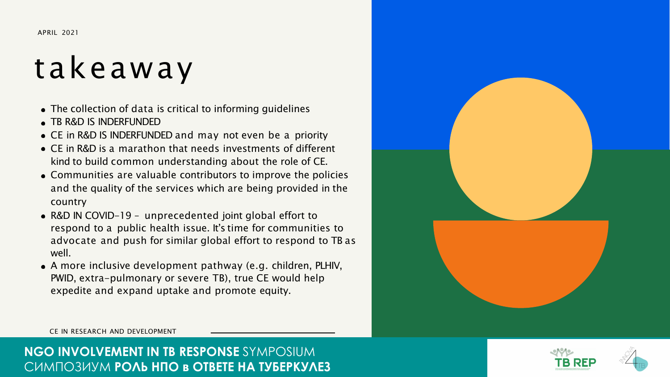# takeaway

CE IN RESEARCH AND DEVELOPMENT

- The collection of data is critical to informing guidelines
- TB R&D IS INDERFUNDED
- CE in R&D IS INDERFUNDED and may not even be a priority
- CE in R&D is a marathon that needs investments of different kind to build common understanding about the role of CE.
- Communities are valuable contributors to improve the policies and the quality of the services which are being provided in the country
- R&D IN COVID-19 unprecedented joint global effort to respond to a public health issue. It's time for communities to advocate and push for similar global effort to respond to TB as well.
- A more inclusive development pathway (e.g. children, PLHIV, PWID, extra-pulmonary or severe TB), true CE would help expedite and expand uptake and promote equity.